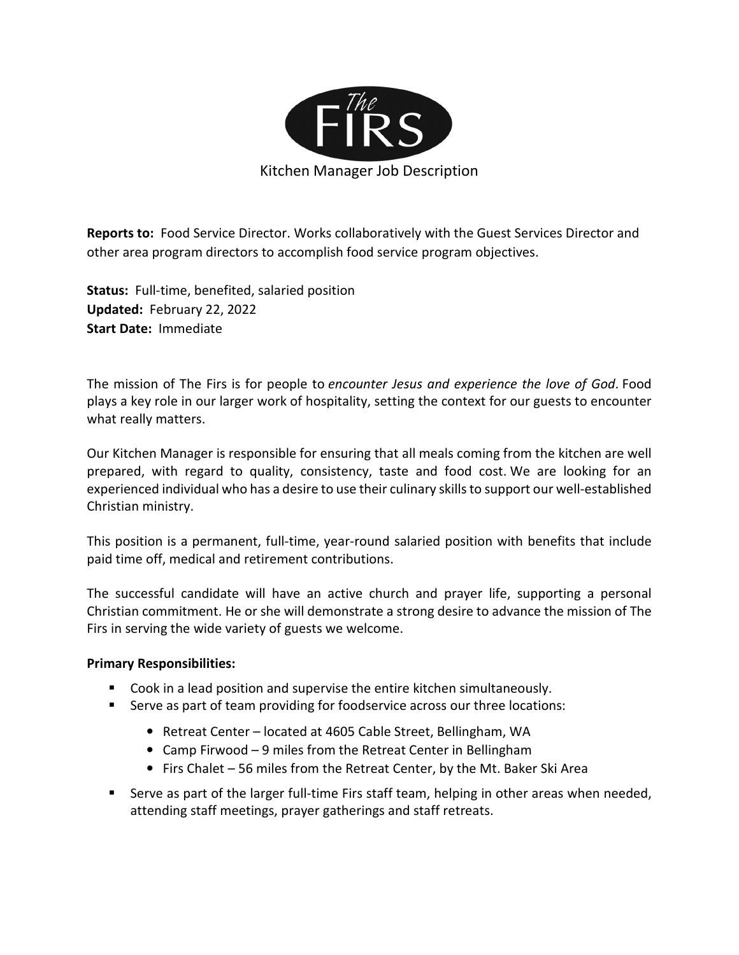

Reports to: Food Service Director. Works collaboratively with the Guest Services Director and other area program directors to accomplish food service program objectives.

Status: Full-time, benefited, salaried position Updated: February 22, 2022 Start Date: Immediate

The mission of The Firs is for people to encounter Jesus and experience the love of God. Food plays a key role in our larger work of hospitality, setting the context for our guests to encounter what really matters.

Our Kitchen Manager is responsible for ensuring that all meals coming from the kitchen are well prepared, with regard to quality, consistency, taste and food cost. We are looking for an experienced individual who has a desire to use their culinary skills to support our well-established Christian ministry.

This position is a permanent, full-time, year-round salaried position with benefits that include paid time off, medical and retirement contributions.

The successful candidate will have an active church and prayer life, supporting a personal Christian commitment. He or she will demonstrate a strong desire to advance the mission of The Firs in serving the wide variety of guests we welcome.

#### Primary Responsibilities:

- Cook in a lead position and supervise the entire kitchen simultaneously.
- Serve as part of team providing for foodservice across our three locations:
	- Retreat Center located at 4605 Cable Street, Bellingham, WA
	- Camp Firwood 9 miles from the Retreat Center in Bellingham
	- Firs Chalet 56 miles from the Retreat Center, by the Mt. Baker Ski Area
- **Serve as part of the larger full-time Firs staff team, helping in other areas when needed,** attending staff meetings, prayer gatherings and staff retreats.